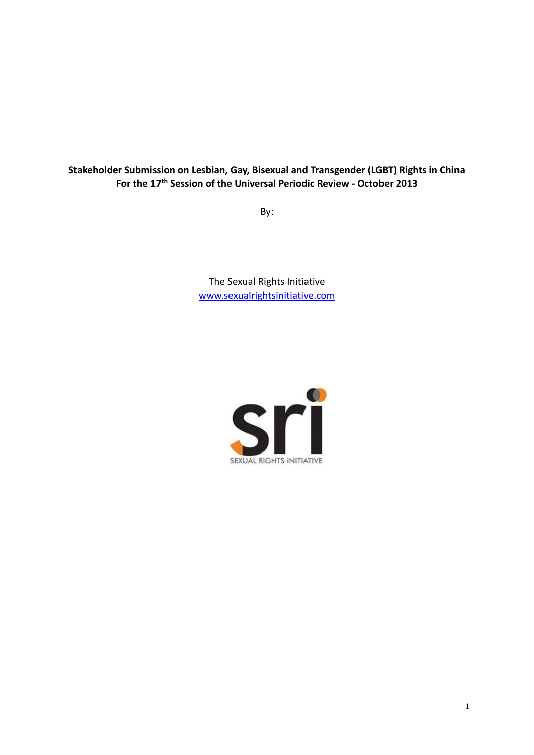# **Stakeholder Submission on Lesbian, Gay, Bisexual and Transgender (LGBT) Rights in China For the 17th Session of the Universal Periodic Review - October 2013**

By:

The Sexual Rights Initiative [www.sexualrightsinitiative.com](http://www.sexualrightsinitiative.com/)

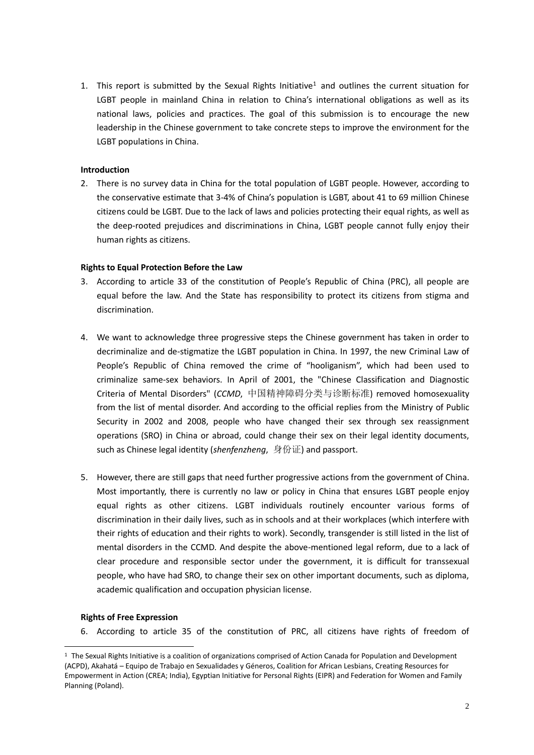1. This report is submitted by the Sexual Rights Initiative<sup>1</sup> and outlines the current situation for LGBT people in mainland China in relation to China's international obligations as well as its national laws, policies and practices. The goal of this submission is to encourage the new leadership in the Chinese government to take concrete steps to improve the environment for the LGBT populations in China.

## **Introduction**

2. There is no survey data in China for the total population of LGBT people. However, according to the conservative estimate that 3-4% of China's population is LGBT, about 41 to 69 million Chinese citizens could be LGBT. Due to the lack of laws and policies protecting their equal rights, as well as the deep-rooted prejudices and discriminations in China, LGBT people cannot fully enjoy their human rights as citizens.

## **Rights to Equal Protection Before the Law**

- 3. According to article 33 of the constitution of People's Republic of China (PRC), all people are equal before the law. And the State has responsibility to protect its citizens from stigma and discrimination.
- 4. We want to acknowledge three progressive steps the Chinese government has taken in order to decriminalize and de-stigmatize the LGBT population in China. In 1997, the new Criminal Law of People's Republic of China removed the crime of "hooliganism", which had been used to criminalize same-sex behaviors. In April of 2001, the "Chinese Classification and Diagnostic Criteria of Mental Disorders" (*CCMD*, 中国精神障碍分类与诊断标准) removed homosexuality from the list of mental disorder. And according to the official replies from the [Ministry of Public](http://www.iciba.com/Ministry_of_Public_Security)  [Security](http://www.iciba.com/Ministry_of_Public_Security) in 2002 and 2008, people who have changed their sex through sex reassignment operations (SRO) in China or abroad, could change their sex on their legal identity documents, such as Chinese legal identity (*shenfenzheng*, 身份证) and passport.
- 5. However, there are still gaps that need further progressive actions from the government of China. Most importantly, there is currently no law or policy in China that ensures LGBT people enjoy equal rights as other citizens. LGBT individuals routinely encounter various forms of discrimination in their daily lives, such as in schools and at their workplaces (which interfere with their rights of education and their rights to work). Secondly, transgender is still listed in the list of mental disorders in the CCMD. And despite the above-mentioned legal reform, due to a lack of clear procedure and responsible sector under the government, it is difficult for transsexual people, who have had SRO, to change their sex on other important documents, such as diploma, academic qualification and occupation physician license.

#### **Rights of Free Expression**

-

6. According to article 35 of the constitution of PRC, all citizens have rights of freedom of

 $1$  The Sexual Rights Initiative is a coalition of organizations comprised of Action Canada for Population and Development (ACPD), Akahatá – Equipo de Trabajo en Sexualidades y Géneros, Coalition for African Lesbians, Creating Resources for Empowerment in Action (CREA; India), Egyptian Initiative for Personal Rights (EIPR) and Federation for Women and Family Planning (Poland).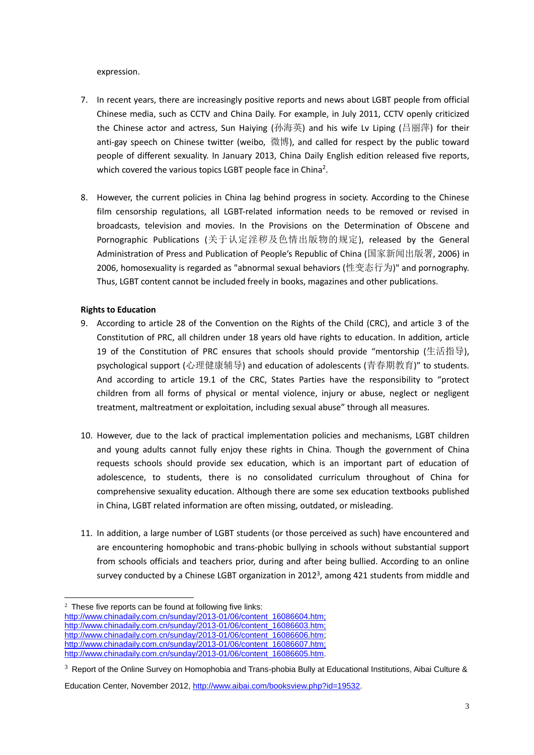expression.

- 7. In recent years, there are increasingly positive reports and news about LGBT people from official Chinese media, such as CCTV and China Daily. For example, in July 2011, CCTV openly criticized the Chinese actor and actress, Sun Haiying (孙海英) and his wife Lv Liping (吕丽萍) for their anti-gay speech on Chinese twitter (weibo, 微博), and called for respect by the public toward people of different sexuality. In January 2013, China Daily English edition released five reports, which covered the various topics LGBT people face in China<sup>2</sup>.
- 8. However, the current policies in China lag behind progress in society. According to the Chinese film censorship regulations, all LGBT-related information needs to be removed or revised in broadcasts, television and movies. In the Provisions on the Determination of Obscene and Pornographic Publications (关于认定淫秽及色情出版物的规定), released by the General Administration of Press and Publication of People's Republic of China (国家新闻出版署, 2006) in 2006, homosexuality is regarded as "abnormal sexual behaviors (性变态行为)" and pornography. Thus, LGBT content cannot be included freely in books, magazines and other publications.

# **Rights to Education**

<u>.</u>

- 9. According to article 28 of the Convention on the Rights of the Child (CRC), and article 3 of the Constitution of PRC, all children under 18 years old have rights to education. In addition, article 19 of the Constitution of PRC ensures that schools should provide "mentorship (生活指导), psychological support (心理健康辅导) and education of adolescents (青春期教育)" to students. And according to article 19.1 of the CRC, States Parties have the responsibility to "protect children from all forms of physical or mental violence, injury or abuse, neglect or negligent treatment, maltreatment or exploitation, including sexual abuse" through all measures.
- 10. However, due to the lack of practical implementation policies and mechanisms, LGBT children and young adults cannot fully enjoy these rights in China. Though the government of China requests schools should provide sex education, which is an important part of education of adolescence, to students, there is no consolidated curriculum throughout of China for comprehensive sexuality education. Although there are some sex education textbooks published in China, LGBT related information are often missing, outdated, or misleading.
- 11. In addition, a large number of LGBT students (or those perceived as such) have encountered and are encountering homophobic and trans-phobic bullying in schools without substantial support from schools officials and teachers prior, during and after being bullied. According to an online survey conducted by a Chinese LGBT organization in 2012<sup>3</sup>, among 421 students from middle and

 $2$  These five reports can be found at following five links: [http://www.chinadaily.com.cn/sunday/2013-01/06/content\\_16086604.htm;](http://www.chinadaily.com.cn/sunday/2013-01/06/content_16086604.htm;) [http://www.chinadaily.com.cn/sunday/2013-01/06/content\\_16086603.htm;](http://www.chinadaily.com.cn/sunday/2013-01/06/content_16086603.htm;) [http://www.chinadaily.com.cn/sunday/2013-01/06/content\\_16086606.htm;](http://www.chinadaily.com.cn/sunday/2013-01/06/content_16086606.htm) [http://www.chinadaily.com.cn/sunday/2013-01/06/content\\_16086607.htm;](http://www.chinadaily.com.cn/sunday/2013-01/06/content_16086607.htm;) [http://www.chinadaily.com.cn/sunday/2013-01/06/content\\_16086605.htm.](http://www.chinadaily.com.cn/sunday/2013-01/06/content_16086605.htm)

 $3$  Report of the Online Survey on Homophobia and Trans-phobia Bully at Educational Institutions, Aibai Culture &

Education Center, November 2012, [http://www.aibai.com/booksview.php?id=19532.](http://www.aibai.com/booksview.php?id=19532)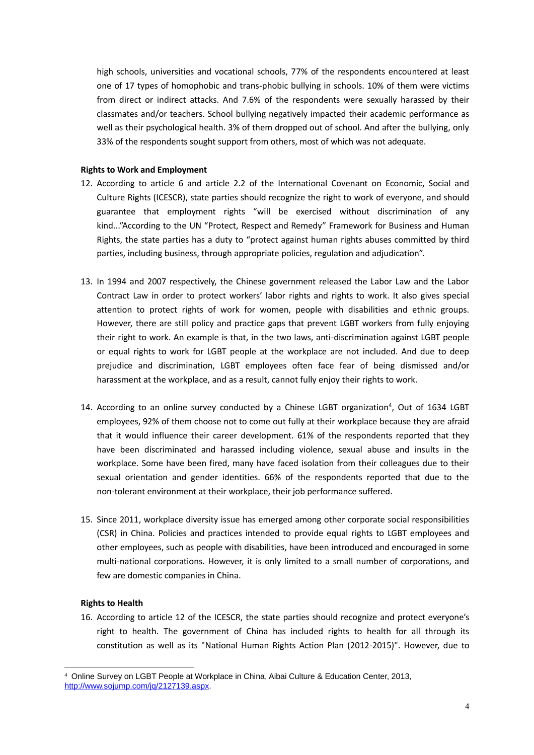high schools, universities and vocational schools, 77% of the respondents encountered at least one of 17 types of homophobic and trans-phobic bullying in schools. 10% of them were victims from direct or indirect attacks. And 7.6% of the respondents were sexually harassed by their classmates and/or teachers. School bullying negatively impacted their academic performance as well as their psychological health. 3% of them dropped out of school. And after the bullying, only 33% of the respondents sought support from others, most of which was not adequate.

#### **Rights to Work and Employment**

- 12. According to article 6 and article 2.2 of the International Covenant on Economic, Social and Culture Rights (ICESCR), state parties should recognize the right to work of everyone, and should guarantee that employment rights "will be exercised without discrimination of any kind..."According to the UN "Protect, Respect and Remedy" Framework for Business and Human Rights, the state parties has a duty to "protect against human rights abuses committed by third parties, including business, through appropriate policies, regulation and adjudication".
- 13. In 1994 and 2007 respectively, the Chinese government released the Labor Law and the Labor Contract Law in order to protect workers' labor rights and rights to work. It also gives special attention to protect rights of work for women, people with disabilities and ethnic groups. However, there are still policy and practice gaps that prevent LGBT workers from fully enjoying their right to work. An example is that, in the two laws, anti-discrimination against LGBT people or equal rights to work for LGBT people at the workplace are not included. And due to deep prejudice and discrimination, LGBT employees often face fear of being dismissed and/or harassment at the workplace, and as a result, cannot fully enjoy their rights to work.
- 14. According to an online survey conducted by a Chinese LGBT organization<sup>4</sup>, Out of 1634 LGBT employees, 92% of them choose not to come out fully at their workplace because they are afraid that it would influence their career development. 61% of the respondents reported that they have been discriminated and harassed including violence, sexual abuse and insults in the workplace. Some have been fired, many have faced isolation from their colleagues due to their sexual orientation and gender identities. 66% of the respondents reported that due to the non-tolerant environment at their workplace, their job performance suffered.
- 15. Since 2011, workplace diversity issue has emerged among other corporate social responsibilities (CSR) in China. Policies and practices intended to provide equal rights to LGBT employees and other employees, such as people with disabilities, have been introduced and encouraged in some multi-national corporations. However, it is only limited to a small number of corporations, and few are domestic companies in China.

#### **Rights to Health**

16. According to article 12 of the ICESCR, the state parties should recognize and protect everyone's right to health. The government of China has included rights to health for all through its constitution as well as its "National Human Rights Action Plan (2012-2015)". However, due to

<sup>-</sup><sup>4</sup> Online Survey on LGBT People at Workplace in China, Aibai Culture & Education Center, 2013, [http://www.sojump.com/jq/2127139.aspx.](http://www.sojump.com/jq/2127139.aspx)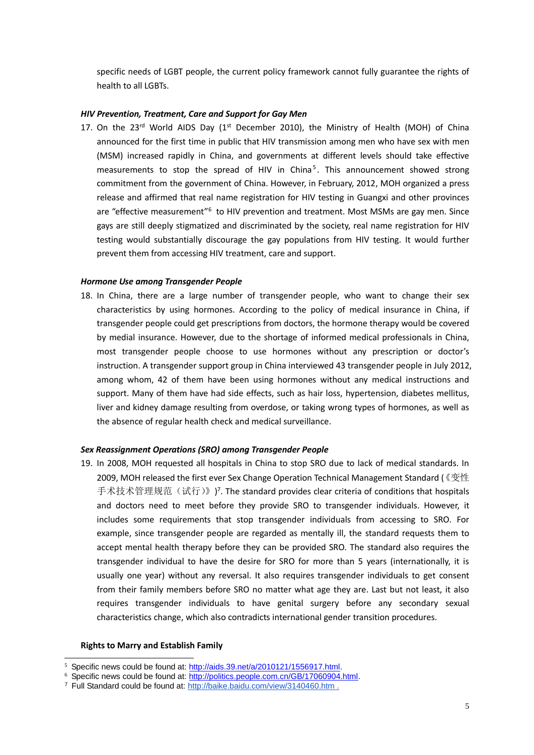specific needs of LGBT people, the current policy framework cannot fully guarantee the rights of health to all LGBTs.

#### *HIV Prevention, Treatment, Care and Support for Gay Men*

17. On the 23<sup>rd</sup> World AIDS Day ( $1<sup>st</sup>$  December 2010), the Ministry of Health (MOH) of China announced for the first time in public that HIV transmission among men who have sex with men (MSM) increased rapidly in China, and governments at different levels should take effective measurements to stop the spread of HIV in China<sup>5</sup>. This announcement showed strong commitment from the government of China. However, in February, 2012, MOH organized a press release and affirmed that real name registration for HIV testing in Guangxi and other provinces are "effective measurement"<sup>6</sup> to HIV prevention and treatment. Most MSMs are gay men. Since gays are still deeply stigmatized and discriminated by the society, real name registration for HIV testing would substantially discourage the gay populations from HIV testing. It would further prevent them from accessing HIV treatment, care and support.

#### *Hormone Use among Transgender People*

18. In China, there are a large number of transgender people, who want to change their sex characteristics by using hormones. According to the policy of medical insurance in China, if transgender people could get prescriptions from doctors, the hormone therapy would be covered by medial insurance. However, due to the shortage of informed medical professionals in China, most transgender people choose to use hormones without any prescription or doctor's instruction. A transgender support group in China interviewed 43 transgender people in July 2012, among whom, 42 of them have been using hormones without any medical instructions and support. Many of them have had side effects, such as hair loss, [hypertension,](http://www.iciba.com/hypertension) [diabetes mellitus,](http://www.iciba.com/diabetes_mellitus) liver and kidney damage resulting from overdose, or taking wrong types of hormones, as well as the absence of regular health check and medical surveillance.

## *Sex Reassignment Operations (SRO) among Transgender People*

19. In 2008, MOH requested all hospitals in China to stop SRO due to lack of medical standards. In 2009, MOH released the first ever Sex Change Operation Technical Management Standard (《变性 手术技术管理规范 (试行)》)<sup>7</sup>. The standard provides clear criteria of conditions that hospitals and doctors need to meet before they provide SRO to transgender individuals. However, it includes some requirements that stop transgender individuals from accessing to SRO. For example, since transgender people are regarded as mentally ill, the standard requests them to accept mental health therapy before they can be provided SRO. The standard also requires the transgender individual to have the desire for SRO for more than 5 years (internationally, it is usually one year) without any reversal. It also requires transgender individuals to get consent from their family members before SRO no matter what age they are. Last but not least, it also requires transgender individuals to have genital surgery before any secondary sexual characteristics change, which also contradicts international gender transition procedures.

#### **Rights to Marry and Establish Family**

<sup>&</sup>lt;u>.</u> <sup>5</sup> Specific news could be found at[: http://aids.39.net/a/2010121/1556917.html.](http://aids.39.net/a/2010121/1556917.html) 

<sup>&</sup>lt;sup>6</sup> Specific news could be found at: http://politics.people.com.cn/GB/17060904.html.

<sup>&</sup>lt;sup>7</sup> Full Standard could be found at:<http://baike.baidu.com/view/3140460.htm>.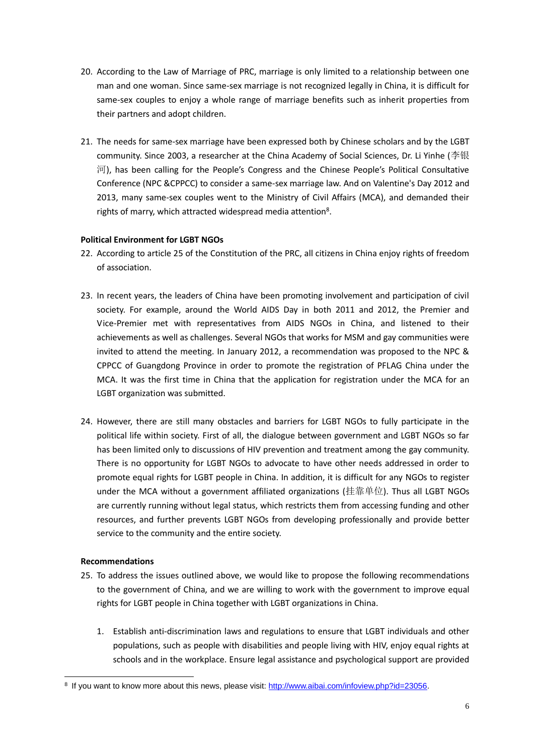- 20. According to the Law of Marriage of PRC, marriage is only limited to a relationship between one man and one woman. Since same-sex marriage is not recognized legally in China, it is difficult for same-sex couples to enjoy a whole range of marriage benefits such as inherit properties from their partners and adopt children.
- 21. The needs for same-sex marriage have been expressed both by Chinese scholars and by the LGBT community. Since 2003, a researcher at the China Academy of Social Sciences, Dr. Li Yinhe (李银 河), has been calling for the People's Congress and the Chinese People's Political Consultative Conference (NPC &CPPCC) to consider a same-sex marriage law. And on [Valentine's Day](http://www.iciba.com/Valentine) 2012 and 2013, many same-sex couples went to the Ministry of Civil Affairs (MCA), and demanded their rights of marry, which attracted widespread media attention<sup>8</sup>.

# **Political Environment for LGBT NGOs**

- 22. According to article 25 of the Constitution of the PRC, all citizens in China enjoy rights of freedom of association.
- 23. In recent years, the leaders of China have been promoting involvement and participation of civil society. For example, around the World AIDS Day in both 2011 and 2012, the Premier and Vice-Premier met with representatives from AIDS NGOs in China, and listened to their achievements as well as challenges. Several NGOs that works for MSM and gay communities were invited to attend the meeting. In January 2012, a recommendation was proposed to the NPC & CPPCC of Guangdong Province in order to promote the registration of PFLAG China under the MCA. It was the first time in China that the application for registration under the MCA for an LGBT organization was submitted.
- 24. However, there are still many obstacles and barriers for LGBT NGOs to fully participate in the political life within society. First of all, the dialogue between government and LGBT NGOs so far has been limited only to discussions of HIV prevention and treatment among the gay community. There is no opportunity for LGBT NGOs to advocate to have other needs addressed in order to promote equal rights for LGBT people in China. In addition, it is difficult for any NGOs to register under the MCA without a government affiliated organizations (挂靠单位). Thus all LGBT NGOs are currently running without legal status, which restricts them from accessing funding and other resources, and further prevents LGBT NGOs from developing professionally and provide better service to the community and the entire society.

#### **Recommendations**

<u>.</u>

- 25. To address the issues outlined above, we would like to propose the following recommendations to the government of China, and we are willing to work with the government to improve equal rights for LGBT people in China together with LGBT organizations in China.
	- 1. Establish anti-discrimination laws and regulations to ensure that LGBT individuals and other populations, such as people with disabilities and people living with HIV, enjoy equal rights at schools and in the workplace. Ensure legal assistance and psychological support are provided

<sup>&</sup>lt;sup>8</sup> If you want to know more about this news, please visit: http://www.aibai.com/infoview.php?id=23056.